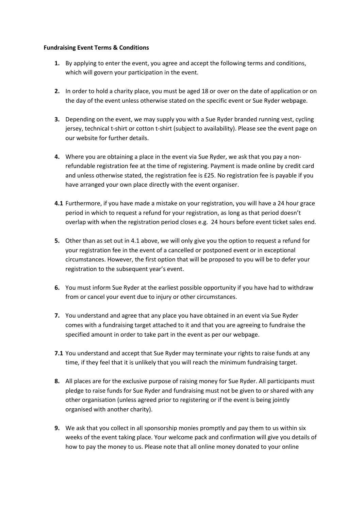## **Fundraising Event Terms & Conditions**

- **1.** By applying to enter the event, you agree and accept the following terms and conditions, which will govern your participation in the event.
- **2.** In order to hold a charity place, you must be aged 18 or over on the date of application or on the day of the event unless otherwise stated on the specific event or Sue Ryder webpage.
- **3.** Depending on the event, we may supply you with a Sue Ryder branded running vest, cycling jersey, technical t-shirt or cotton t-shirt (subject to availability). Please see the event page on our website for further details.
- **4.** Where you are obtaining a place in the event via Sue Ryder, we ask that you pay a nonrefundable registration fee at the time of registering. Payment is made online by credit card and unless otherwise stated, the registration fee is £25. No registration fee is payable if you have arranged your own place directly with the event organiser.
- <span id="page-0-0"></span>**4.1** Furthermore, if you have made a mistake on your registration, you will have a 24 hour grace period in which to request a refund for your registration, as long as that period doesn't overlap with when the registration period closes e.g. 24 hours before event ticket sales end.
- **5.** Other than as set out in [4.1](#page-0-0) above, we will only give you the option to request a refund for your registration fee in the event of a cancelled or postponed event or in exceptional circumstances. However, the first option that will be proposed to you will be to defer your registration to the subsequent year's event.
- **6.** You must inform Sue Ryder at the earliest possible opportunity if you have had to withdraw from or cancel your event due to injury or other circumstances.
- **7.** You understand and agree that any place you have obtained in an event via Sue Ryder comes with a fundraising target attached to it and that you are agreeing to fundraise the specified amount in order to take part in the event as per our webpage.
- **7.1** You understand and accept that Sue Ryder may terminate your rights to raise funds at any time, if they feel that it is unlikely that you will reach the minimum fundraising target.
- **8.** All places are for the exclusive purpose of raising money for Sue Ryder. All participants must pledge to raise funds for Sue Ryder and fundraising must not be given to or shared with any other organisation (unless agreed prior to registering or if the event is being jointly organised with another charity).
- **9.** We ask that you collect in all sponsorship monies promptly and pay them to us within six weeks of the event taking place. Your welcome pack and confirmation will give you details of how to pay the money to us. Please note that all online money donated to your online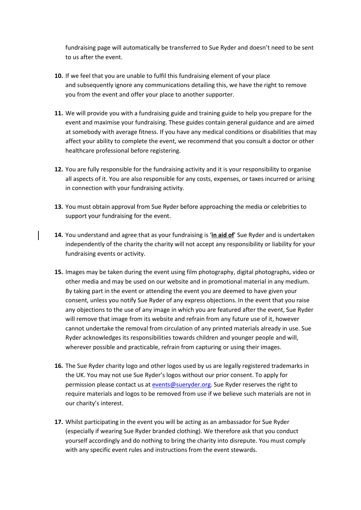fundraising page will automatically be transferred to Sue Ryder and doesn't need to be sent to us after the event.

- **10.** If we feel that you are unable to fulfil this fundraising element of your place and subsequently ignore any communications detailing this, we have the right to remove you from the event and offer your place to another supporter.
- **11.** We will provide you with a fundraising guide and training guide to help you prepare for the event and maximise your fundraising. These guides contain general guidance and are aimed at somebody with average fitness. If you have any medical conditions or disabilities that may affect your ability to complete the event, we recommend that you consult a doctor or other healthcare professional before registering.
- **12.** You are fully responsible for the fundraising activity and it is your responsibility to organise all aspects of it. You are also responsible for any costs, expenses, or taxes incurred or arising in connection with your fundraising activity.
- **13.** You must obtain approval from Sue Ryder before approaching the media or celebrities to support your fundraising for the event.
- **14.** You understand and agree that as your fundraising is '**[in aid of](http://www.institute-of-fundraising.org.uk/guidance/code-of-fundraising-practice/working-with-other-people-volunteers-children-and-third-parties/#initial-considerations-2221b)**' Sue Ryder and is undertaken independently of the charity the charity will not accept any responsibility or liability for your fundraising events or activity.
- **15.** Images may be taken during the event using film photography, digital photographs, video or other media and may be used on our website and in promotional material in any medium. By taking part in the event or attending the event you are deemed to have given your consent, unless you notify Sue Ryder of any express objections. In the event that you raise any objections to the use of any image in which you are featured after the event, Sue Ryder will remove that image from its website and refrain from any future use of it, however cannot undertake the removal from circulation of any printed materials already in use. Sue Ryder acknowledges its responsibilities towards children and younger people and will, wherever possible and practicable, refrain from capturing or using their images.
- **16.** The Sue Ryder charity logo and other logos used by us are legally registered trademarks in the UK. You may not use Sue Ryder's logos without our prior consent. To apply for permission please contact us at [events@sueryder.org.](file:///C:/Users/warren.stabler/Downloads/events@sueryder.org) Sue Ryder reserves the right to require materials and logos to be removed from use if we believe such materials are not in our charity's interest.
- **17.** Whilst participating in the event you will be acting as an ambassador for Sue Ryder (especially if wearing Sue Ryder branded clothing). We therefore ask that you conduct yourself accordingly and do nothing to bring the charity into disrepute. You must comply with any specific event rules and instructions from the event stewards.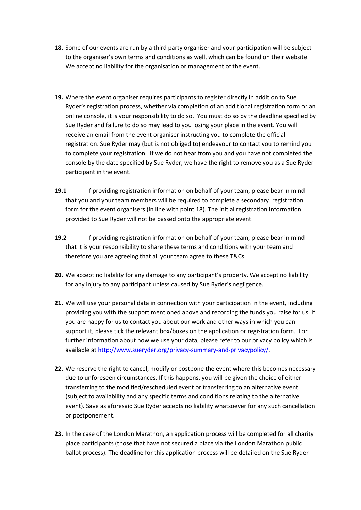- **18.** Some of our events are run by a third party organiser and your participation will be subject to the organiser's own terms and conditions as well, which can be found on their website. We accept no liability for the organisation or management of the event.
- **19.** Where the event organiser requires participants to register directly in addition to Sue Ryder's registration process, whether via completion of an additional registration form or an online console, it is your responsibility to do so. You must do so by the deadline specified by Sue Ryder and failure to do so may lead to you losing your place in the event. You will receive an email from the event organiser instructing you to complete the official registration. Sue Ryder may (but is not obliged to) endeavour to contact you to remind you to complete your registration. If we do not hear from you and you have not completed the console by the date specified by Sue Ryder, we have the right to remove you as a Sue Ryder participant in the event.
- **19.1** If providing registration information on behalf of your team, please bear in mind that you and your team members will be required to complete a secondary registration form for the event organisers (in line with point 18). The initial registration information provided to Sue Ryder will not be passed onto the appropriate event.
- **19.2** If providing registration information on behalf of your team, please bear in mind that it is your responsibility to share these terms and conditions with your team and therefore you are agreeing that all your team agree to these T&Cs.
- **20.** We accept no liability for any damage to any participant's property. We accept no liability for any injury to any participant unless caused by Sue Ryder's negligence.
- **21.** We will use your personal data in connection with your participation in the event, including providing you with the support mentioned above and recording the funds you raise for us. If you are happy for us to contact you about our work and other ways in which you can support it, please tick the relevant box/boxes on the application or registration form. For further information about how we use your data, please refer to our privacy policy which is available a[t http://www.sueryder.org/privacy-summary-and-privacypolicy/.](http://www.sueryder.org/privacy-summary-and-privacypolicy/)
- **22.** We reserve the right to cancel, modify or postpone the event where this becomes necessary due to unforeseen circumstances. If this happens, you will be given the choice of either transferring to the modified/rescheduled event or transferring to an alternative event (subject to availability and any specific terms and conditions relating to the alternative event). Save as aforesaid Sue Ryder accepts no liability whatsoever for any such cancellation or postponement.
- **23.** In the case of the London Marathon, an application process will be completed for all charity place participants (those that have not secured a place via the London Marathon public ballot process). The deadline for this application process will be detailed on the Sue Ryder